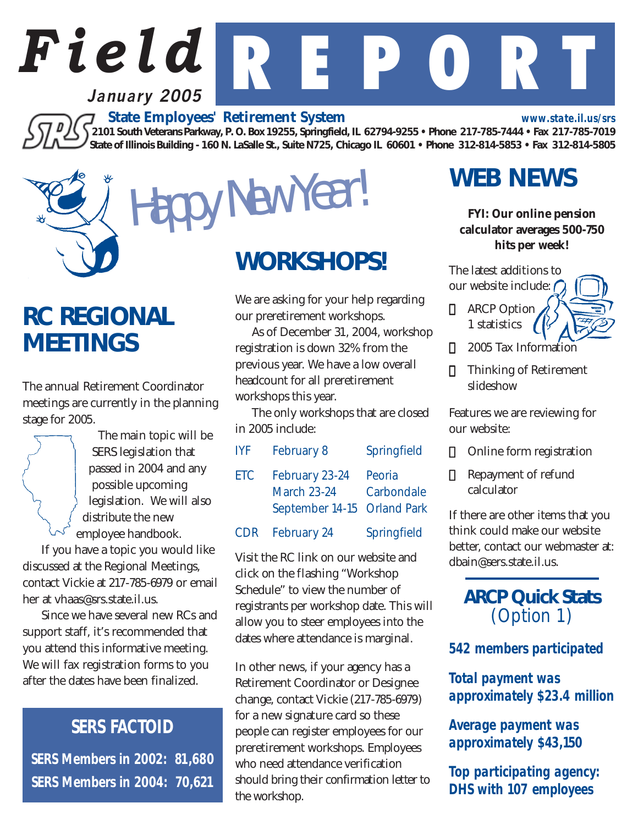*www.state.il.us/srs*

 *State Employees' Retirement System 2101 South Veterans Parkway, P. O. Box 19255, Springfield, IL 62794-9255 • Phone 217-785-7444 • Fax 217-785-7019 State of Illinois Building - 160 N. LaSalle St., Suite N725, Chicago IL 60601 • Phone 312-814-5853 • Fax 312-814-5805*

*Field* R E P O R T

### *RC REGIONAL MEETINGS*

The annual Retirement Coordinator meetings are currently in the planning stage for 2005.

> The main topic will be SERS legislation that passed in 2004 and any possible upcoming legislation. We will also distribute the new employee handbook.

**January 2005**

If you have a topic you would like discussed at the Regional Meetings, contact Vickie at 217-785-6979 or email her at vhaas@srs.state.il.us.

Since we have several new RCs and support staff, it's recommended that you attend this informative meeting. We will fax registration forms to you after the dates have been finalized.

### *SERS FACTOID*

*SERS Members in 2002: 81,680 SERS Members in 2004: 70,621*

# *WORKSHOPS!*

Happy New Year!

We are asking for your help regarding our preretirement workshops.

As of December 31, 2004, workshop registration is down 32% from the previous year. We have a low overall headcount for all preretirement workshops this year.

The only workshops that are closed in 2005 include:

| <b>IYF</b> | February 8                                                          | Springfield          |
|------------|---------------------------------------------------------------------|----------------------|
| <b>ETC</b> | February 23-24<br><b>March 23-24</b><br>September 14-15 Orland Park | Peoria<br>Carbondale |
| CDR        | February 24                                                         | Springfield          |

Visit the RC link on our website and click on the flashing "Workshop Schedule" to view the number of registrants per workshop date. This will allow you to steer employees into the dates where attendance is marginal.

In other news, if your agency has a Retirement Coordinator or Designee change, contact Vickie (217-785-6979) for a new signature card so these people can register employees for our preretirement workshops. Employees who need attendance verification should bring their confirmation letter to the workshop.

## *WEB NEWS*

#### *FYI: Our online pension calculator averages 500-750 hits per week!*

The latest additions to our website include:

- **2** ARCP Option 1 statistics
- 2005 Tax Information
- Thinking of Retirement slideshow

Features we are reviewing for our website:

- **2** Online form registration
- Repayment of refund calculator

If there are other items that you think could make our website better, contact our webmaster at: dbain@sers.state.il.us.

### *ARCP Quick Stats* (Option 1)

*542 members participated*

*Total payment was approximately \$23.4 million*

*Average payment was approximately \$43,150*

*Top participating agency: DHS with 107 employees*